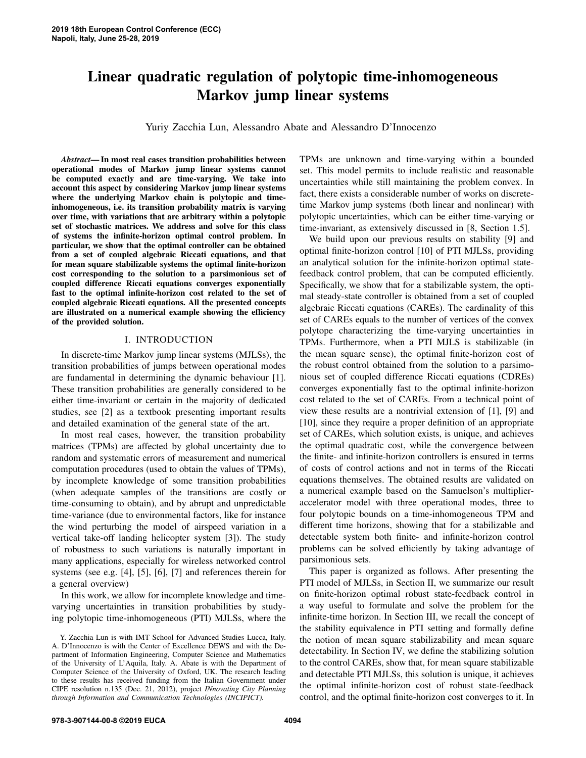# Linear quadratic regulation of polytopic time-inhomogeneous Markov jump linear systems

Yuriy Zacchia Lun, Alessandro Abate and Alessandro D'Innocenzo

*Abstract*— In most real cases transition probabilities between operational modes of Markov jump linear systems cannot be computed exactly and are time-varying. We take into account this aspect by considering Markov jump linear systems where the underlying Markov chain is polytopic and timeinhomogeneous, i.e. its transition probability matrix is varying over time, with variations that are arbitrary within a polytopic set of stochastic matrices. We address and solve for this class of systems the infinite-horizon optimal control problem. In particular, we show that the optimal controller can be obtained from a set of coupled algebraic Riccati equations, and that for mean square stabilizable systems the optimal finite-horizon cost corresponding to the solution to a parsimonious set of coupled difference Riccati equations converges exponentially fast to the optimal infinite-horizon cost related to the set of coupled algebraic Riccati equations. All the presented concepts are illustrated on a numerical example showing the efficiency of the provided solution.

#### I. INTRODUCTION

In discrete-time Markov jump linear systems (MJLSs), the transition probabilities of jumps between operational modes are fundamental in determining the dynamic behaviour [1]. These transition probabilities are generally considered to be either time-invariant or certain in the majority of dedicated studies, see [2] as a textbook presenting important results and detailed examination of the general state of the art.

In most real cases, however, the transition probability matrices (TPMs) are affected by global uncertainty due to random and systematic errors of measurement and numerical computation procedures (used to obtain the values of TPMs), by incomplete knowledge of some transition probabilities (when adequate samples of the transitions are costly or time-consuming to obtain), and by abrupt and unpredictable time-variance (due to environmental factors, like for instance the wind perturbing the model of airspeed variation in a vertical take-off landing helicopter system [3]). The study of robustness to such variations is naturally important in many applications, especially for wireless networked control systems (see e.g. [4], [5], [6], [7] and references therein for a general overview)

In this work, we allow for incomplete knowledge and timevarying uncertainties in transition probabilities by studying polytopic time-inhomogeneous (PTI) MJLSs, where the TPMs are unknown and time-varying within a bounded set. This model permits to include realistic and reasonable uncertainties while still maintaining the problem convex. In fact, there exists a considerable number of works on discretetime Markov jump systems (both linear and nonlinear) with polytopic uncertainties, which can be either time-varying or time-invariant, as extensively discussed in [8, Section 1.5].

We build upon our previous results on stability [9] and optimal finite-horizon control [10] of PTI MJLSs, providing an analytical solution for the infinite-horizon optimal statefeedback control problem, that can be computed efficiently. Specifically, we show that for a stabilizable system, the optimal steady-state controller is obtained from a set of coupled algebraic Riccati equations (CAREs). The cardinality of this set of CAREs equals to the number of vertices of the convex polytope characterizing the time-varying uncertainties in TPMs. Furthermore, when a PTI MJLS is stabilizable (in the mean square sense), the optimal finite-horizon cost of the robust control obtained from the solution to a parsimonious set of coupled difference Riccati equations (CDREs) converges exponentially fast to the optimal infinite-horizon cost related to the set of CAREs. From a technical point of view these results are a nontrivial extension of [1], [9] and [10], since they require a proper definition of an appropriate set of CAREs, which solution exists, is unique, and achieves the optimal quadratic cost, while the convergence between the finite- and infinite-horizon controllers is ensured in terms of costs of control actions and not in terms of the Riccati equations themselves. The obtained results are validated on a numerical example based on the Samuelson's multiplieraccelerator model with three operational modes, three to four polytopic bounds on a time-inhomogeneous TPM and different time horizons, showing that for a stabilizable and detectable system both finite- and infinite-horizon control problems can be solved efficiently by taking advantage of parsimonious sets.

This paper is organized as follows. After presenting the PTI model of MJLSs, in Section II, we summarize our result on finite-horizon optimal robust state-feedback control in a way useful to formulate and solve the problem for the infinite-time horizon. In Section III, we recall the concept of the stability equivalence in PTI setting and formally define the notion of mean square stabilizability and mean square detectability. In Section IV, we define the stabilizing solution to the control CAREs, show that, for mean square stabilizable and detectable PTI MJLSs, this solution is unique, it achieves the optimal infinite-horizon cost of robust state-feedback control, and the optimal finite-horizon cost converges to it. In

Y. Zacchia Lun is with IMT School for Advanced Studies Lucca, Italy. A. D'Innocenzo is with the Center of Excellence DEWS and with the Department of Information Engineering, Computer Science and Mathematics of the University of L'Aquila, Italy. A. Abate is with the Department of Computer Science of the University of Oxford, UK. The research leading to these results has received funding from the Italian Government under CIPE resolution n.135 (Dec. 21, 2012), project *INnovating City Planning through Information and Communication Technologies (INCIPICT).*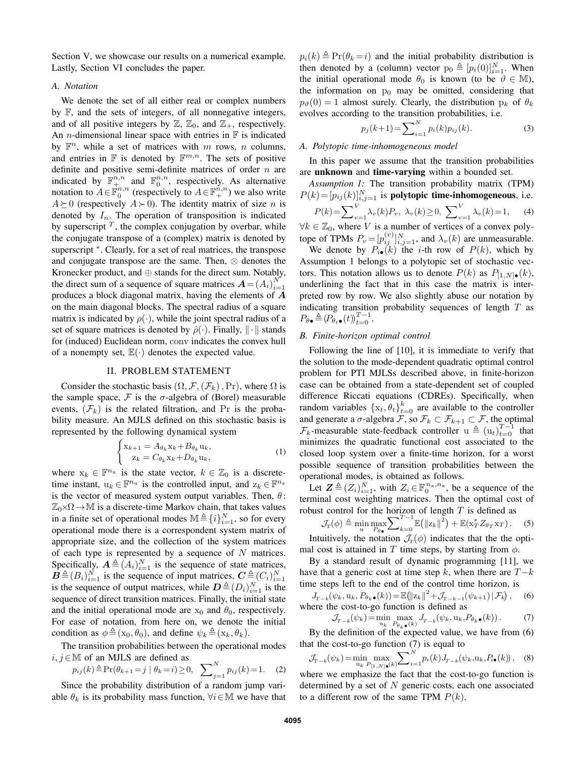Section V, we showcase our results on a numerical example. Lastly, Section VI concludes the paper.

## *A. Notation*

We denote the set of all either real or complex numbers by F, and the sets of integers, of all nonnegative integers, and of all positive integers by  $\mathbb{Z}, \mathbb{Z}_0$ , and  $\mathbb{Z}_+$ , respectively. An *n*-dimensional linear space with entries in  $\mathbb F$  is indicated by  $\mathbb{F}^n$ , while a set of matrices with m rows, n columns, and entries in  $\mathbb F$  is denoted by  $\mathbb F^{m,n}$ . The sets of positive definite and positive semi-definite matrices of order  $n$  are indicated by  $\mathbb{F}^{n,n}_{+}$  and  $\mathbb{F}^{n,n}_{0}$ , respectively. As alternative notation to  $A \in \mathbb{F}_0^{n,n}$  (respectively to  $A \in \mathbb{F}_+^{n,n}$ ) we also write  $A \succeq 0$  (respectively  $A \succ 0$ ). The identity matrix of size n is denoted by  $I_n$ . The operation of transposition is indicated by superscript  $<sup>T</sup>$ , the complex conjugation by overbar, while</sup> the conjugate transpose of a (complex) matrix is denoted by superscript  $*$ . Clearly, for a set of real matrices, the transpose and conjugate transpose are the same. Then, ⊗ denotes the Kronecker product, and ⊕ stands for the direct sum. Notably, the direct sum of a sequence of square matrices  $\mathbf{A} = (A_i)_{i=1}^N$ produces a block diagonal matrix, having the elements of A on the main diagonal blocks. The spectral radius of a square matrix is indicated by  $\rho(\cdot)$ , while the joint spectral radius of a set of square matrices is denoted by  $\hat{\rho}(\cdot)$ . Finally,  $\|\cdot\|$  stands for (induced) Euclidean norm, conv indicates the convex hull of a nonempty set,  $\mathbb{E}(\cdot)$  denotes the expected value.

### II. PROBLEM STATEMENT

Consider the stochastic basis  $(\Omega, \mathcal{F}, (\mathcal{F}_k), Pr)$ , where  $\Omega$  is the sample space,  $\mathcal F$  is the  $\sigma$ -algebra of (Borel) measurable events,  $(\mathcal{F}_k)$  is the related filtration, and Pr is the probability measure. An MJLS defined on this stochastic basis is represented by the following dynamical system

$$
\begin{cases} \mathbf{x}_{k+1} = A_{\theta_k} \mathbf{x}_k + B_{\theta_k} \mathbf{u}_k, \\ \mathbf{z}_k = C_{\theta_k} \mathbf{x}_k + D_{\theta_k} \mathbf{u}_k, \end{cases} \tag{1}
$$

where  $x_k \in \mathbb{F}^{n_x}$  is the state vector,  $k \in \mathbb{Z}_0$  is a discretetime instant,  $u_k \in \mathbb{F}^{n_u}$  is the controlled input, and  $z_k \in \mathbb{F}^{n_z}$ is the vector of measured system output variables. Then,  $\theta$ :  $\mathbb{Z}_0\times\Omega\to\mathbb{M}$  is a discrete-time Markov chain, that takes values in a finite set of operational modes  $\mathbb{M}\triangleq \{i\}_{i=1}^N$ , so for every operational mode there is a correspondent system matrix of appropriate size, and the collection of the system matrices of each type is represented by a sequence of  $N$  matrices. Specifically,  $A \triangleq (A_i)_{i=1}^N$  is the sequence of state matrices,  $\mathbf{B} \triangleq (B_i)_{i=1}^N$  is the sequence of input matrices,  $\mathbf{C} \triangleq (C_i)_{i=1}^N$ is the sequence of output matrices, while  $\mathbf{D} \triangleq (D_i)_{i=1}^N$  is the sequence of direct transition matrices. Finally, the initial state and the initial operational mode are  $x_0$  and  $\theta_0$ , respectively. For ease of notation, from here on, we denote the initial condition as  $\phi \triangleq (x_0, \theta_0)$ , and define  $\psi_k \triangleq (x_k, \theta_k)$ .

The transition probabilities between the operational modes  $i, j \in \mathbb{M}$  of an MJLS are defined as

$$
p_{ij}(k) \triangleq \Pr(\theta_{k+1} = j \mid \theta_k = i) \ge 0, \quad \sum_{j=1}^{N} p_{ij}(k) = 1. \tag{2}
$$

Since the probability distribution of a random jump variable  $\theta_k$  is its probability mass function,  $\forall i \in \mathbb{M}$  we have that  $p_i(k) \triangleq Pr(\theta_k = i)$  and the initial probability distribution is then denoted by a (column) vector  $p_0 \triangleq [p_i(0)]_{i=1}^N$ . When the initial operational mode  $\theta_0$  is known (to be  $\vartheta \in M$ ), the information on  $p_0$  may be omitted, considering that  $p_{\theta}(0) = 1$  almost surely. Clearly, the distribution  $p_k$  of  $\theta_k$ evolves according to the transition probabilities, i.e.

$$
p_j(k+1) = \sum_{i=1}^{N} p_i(k) p_{ij}(k).
$$
 (3)

## *A. Polytopic time-inhomogeneous model*

In this paper we assume that the transition probabilities are unknown and time-varying within a bounded set.

*Assumption 1:* The transition probability matrix (TPM)  $P(k) = [p_{ij}(k)]_{i,j=1}^N$  is **polytopic time-inhomogeneous**, i.e.

$$
P(k) = \sum_{v=1}^{V} \lambda_v(k) P_v, \ \lambda_v(k) \ge 0, \ \sum_{v=1}^{V} \lambda_v(k) = 1,
$$
 (4)

 $\forall k \in \mathbb{Z}_0$ , where V is a number of vertices of a convex polytope of TPMs  $P_v = [p_{ij}^{(v)}]_{i,j=1}^N$ , and  $\lambda_v(k)$  are unmeasurable.

We denote by  $P_{i\bullet}(k)$  the *i*-th row of  $P(k)$ , which by Assumption 1 belongs to a polytopic set of stochastic vectors. This notation allows us to denote  $P(k)$  as  $P_{[1,N]\bullet}(k)$ , underlining the fact that in this case the matrix is interpreted row by row. We also slightly abuse our notation by indicating transition probability sequences of length  $T$  as  $P_{\theta\bullet} \triangleq (P_{\theta_t\bullet}(t))_{t=0}^{T-1}$ .

#### *B. Finite-horizon optimal control*

Following the line of [10], it is immediate to verify that the solution to the mode-dependent quadratic optimal control problem for PTI MJLSs described above, in finite-horizon case can be obtained from a state-dependent set of coupled difference Riccati equations (CDREs). Specifically, when random variables  $\{x_t, \theta_t\}_{t=0}^k$  are available to the controller and generate a  $\sigma$ -algebra  $\mathcal{F}$ , so  $\mathcal{F}_k \subset \mathcal{F}_{k+1} \subset \mathcal{F}$ , the optimal  $\mathcal{F}_k$ -measurable state-feedback controller  $\mathbf{u} \triangleq (\mathbf{u}_t)_{t=0}^{T-1}$  that minimizes the quadratic functional cost associated to the closed loop system over a finite-time horizon, for a worst possible sequence of transition probabilities between the operational modes, is obtained as follows.

Let  $\mathbf{Z} \triangleq (Z_i)_{i=1}^N$ , with  $Z_i \in \mathbb{F}_0^{n_x, n_x}$ , be a sequence of the terminal cost weighting matrices. Then the optimal cost of robust control for the horizon of length  $T$  is defined as

$$
\mathcal{J}_T(\phi) \triangleq \min_{\mathbf{u}} \max_{P_{\theta\bullet}} \sum_{k=0}^{T-1} \mathbb{E}(\|\mathbf{z}_k\|^2) + \mathbb{E}(\mathbf{x}_T^* Z_{\theta_T} \mathbf{x}_T). \tag{5}
$$

Intuitively, the notation  $\mathcal{J}_T(\phi)$  indicates that the the optimal cost is attained in T time steps, by starting from  $\phi$ .

By a standard result of dynamic programming [11], we have that a generic cost at time step k, when there are  $T-k$ time steps left to the end of the control time horizon, is

$$
J_{T-k}(\psi_k, \mathbf{u}_k, P_{\theta_k \bullet}(k)) = \mathbb{E}(\|z_k\|^2 + \mathcal{J}_{T-k-1}(\psi_{k+1}) \, | \, \mathcal{F}_k), \quad (6)
$$
\nwhere the cost-to-go function is defined as

$$
\mathcal{J}_{T-k}(\psi_k) = \min_{u_k} \max_{P_{\theta_k} \bullet (k)} J_{T-k}(\psi_k, u_k, P_{\theta_k \bullet}(k)).
$$
\n(7)

\nBy the definition of the expected value, we have from (6)

that the cost-to-go function (7) is equal to

$$
\mathcal{J}_{T-k}(\psi_k) = \min_{\mathbf{u}_k} \max_{P_{[1,N] \bullet}(k)} \sum_{i=1}^N p_i(k) J_{T-k}(\psi_k, \mathbf{u}_k, P_{i\bullet}(k)), \quad (8)
$$

where we emphasize the fact that the cost-to-go function is determined by a set of  $N$  generic costs, each one associated to a different row of the same TPM  $P(k)$ .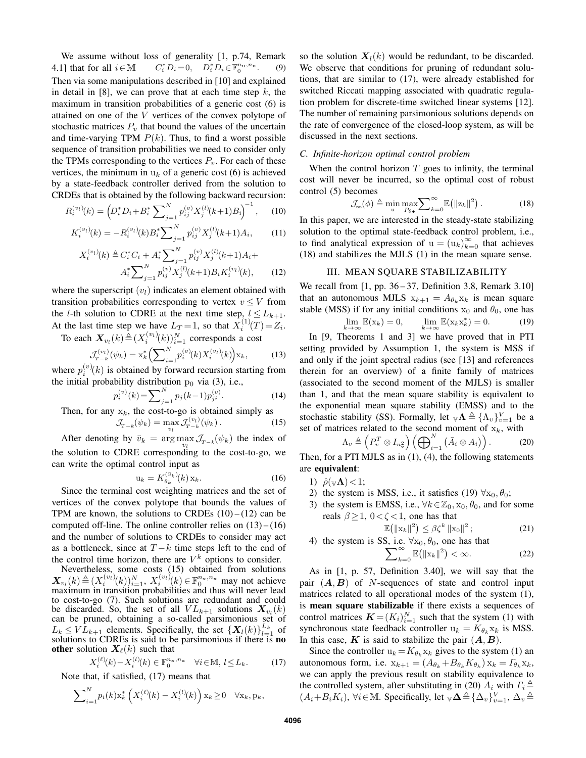We assume without loss of generality [1, p.74, Remark 4.1] that for all  $i \in \mathbb{M}$ <sup>\*</sup><sub>i</sub> $D_i = 0$ ,  $D_i^* D_i \in \mathbb{F}_0^{n_u, n_u}$ . (9) Then via some manipulations described in [10] and explained in detail in  $[8]$ , we can prove that at each time step k, the maximum in transition probabilities of a generic cost (6) is attained on one of the V vertices of the convex polytope of stochastic matrices  $P_v$  that bound the values of the uncertain and time-varying TPM  $P(k)$ . Thus, to find a worst possible sequence of transition probabilities we need to consider only the TPMs corresponding to the vertices  $P_v$ . For each of these vertices, the minimum in  $u_k$  of a generic cost (6) is achieved by a state-feedback controller derived from the solution to CRDEs that is obtained by the following backward recursion:

$$
R_i^{(v_l)}(k) = \left(D_i^* D_i + B_i^* \sum_{j=1}^N p_{ij}^{(v)} X_j^{(l)}(k+1) B_i\right)^{-1}, \quad (10)
$$

$$
K_i^{(v_l)}(k) = -R_i^{(v_l)}(k)B_i^* \sum_{j=1}^N p_{ij}^{(v)} X_j^{(l)}(k+1)A_i, \qquad (11)
$$

$$
X_i^{(v_l)}(k) \triangleq C_i^* C_i + A_i^* \sum_{j=1}^N p_{ij}^{(v)} X_j^{(l)}(k+1) A_i + A_i^* \sum_{j=1}^N p_{ij}^{(v)} X_j^{(l)}(k+1) B_i K_i^{(v_l)}(k), \qquad (12)
$$

where the superscript  $(v_l)$  indicates an element obtained with transition probabilities corresponding to vertex  $v \leq V$  from the *l*-th solution to CDRE at the next time step,  $l \leq L_{k+1}$ . At the last time step we have  $L_T = 1$ , so that  $X_i^{(1)}(T) = Z_i$ .

To each  $\mathbf{X}_{v_l}(k) \triangleq (X_i^{(v_l)}(k))_{i=1}^N$  corresponds a cost

$$
\mathcal{J}_{T-k}^{(v_l)}(\psi_k) = \mathbf{x}_k^* \left( \sum_{i=1}^N p_i^{(v)}(k) X_i^{(v_l)}(k) \right) \mathbf{x}_k,\tag{13}
$$

where  $p_i^{(v)}(k)$  is obtained by forward recursion starting from the initial probability distribution  $p_0$  via (3), i.e.,

$$
p_i^{(v)}(k) = \sum_{j=1}^{N} p_j(k-1)p_{ji}^{(v)}.
$$
 (14)

Then, for any  $x_k$ , the cost-to-go is obtained simply as

$$
\mathcal{J}_{T-k}(\psi_k) = \max_{v_l} \mathcal{J}_{T-k}^{(v_l)}(\psi_k). \tag{15}
$$

After denoting by  $\bar{v}_k = \arg \max_{v_l} \mathcal{J}_{T-k}(\psi_k)$  the index of the solution to CDRE corresponding to the cost-to-go, we can write the optimal control input as

$$
\mathbf{u}_k = K_{\theta_k}^{(\bar{v}_k)}(k) \mathbf{x}_k. \tag{16}
$$

Since the terminal cost weighting matrices and the set of vertices of the convex polytope that bounds the values of TPM are known, the solutions to CRDEs  $(10) - (12)$  can be computed off-line. The online controller relies on  $(13)$  –  $(16)$ and the number of solutions to CRDEs to consider may act as a bottleneck, since at  $T - k$  time steps left to the end of the control time horizon, there are  $V^k$  options to consider.

Nevertheless, some costs (15) obtained from solutions  $\mathbf{X}_{v_l}(k) \triangleq (X_i^{(v_l)}(k))_{i=1}^N, X_i^{(v_l)}(k) \in \mathbb{F}_0^{n_x, n_x}$  may not achieve maximum in transition probabilities and thus will never lead to cost-to-go (7). Such solutions are redundant and could be discarded. So, the set of all  $VL_{k+1}$  solutions  $X_{v_l}(k)$ can be pruned, obtaining a so-called parsimonious set of  $L_k \leq V L_{k+1}$  elements. Specifically, the set  $\{X_l(k)\}_{l=1}^{L_k}$  of solutions to CDREs is said to be parsimonious if there is **no** other solution  $X_{\ell}(k)$  such that

$$
X_i^{(\ell)}(k) - X_i^{(l)}(k) \in \mathbb{F}_0^{n_x, n_x} \quad \forall i \in \mathbb{M}, l \le L_k.
$$
 (17)

Note that, if satisfied, (17) means that

$$
\sum\nolimits_{i=1}^{N} p_i(k) \mathbf{x}_k^* \left( X_i^{(\ell)}(k) - X_i^{(l)}(k) \right) \mathbf{x}_k \ge 0 \quad \forall \mathbf{x}_k, \mathbf{p}_k,
$$

so the solution  $X_l(k)$  would be redundant, to be discarded. We observe that conditions for pruning of redundant solutions, that are similar to (17), were already established for switched Riccati mapping associated with quadratic regulation problem for discrete-time switched linear systems [12]. The number of remaining parsimonious solutions depends on the rate of convergence of the closed-loop system, as will be discussed in the next sections.

### *C. Infinite-horizon optimal control problem*

When the control horizon  $T$  goes to infinity, the terminal cost will never be incurred, so the optimal cost of robust control (5) becomes

$$
\mathcal{J}_{\infty}(\phi) \triangleq \min_{\mathbf{u}} \max_{P_{\theta}} \sum_{k=0}^{\infty} \mathbb{E}(\|\mathbf{z}_k\|^2). \tag{18}
$$

In this paper, we are interested in the steady-state stabilizing solution to the optimal state-feedback control problem, i.e., to find analytical expression of  $u = (u_k)_{k=0}^{\infty}$  that achieves (18) and stabilizes the MJLS (1) in the mean square sense.

### III. MEAN SQUARE STABILIZABILITY

We recall from  $[1, pp. 36-37,$  Definition 3.8, Remark 3.10] that an autonomous MJLS  $x_{k+1} = A_{\theta_k} x_k$  is mean square stable (MSS) if for any initial conditions  $x_0$  and  $\theta_0$ , one has ∗

$$
\lim_{k \to \infty} \mathbb{E}(\mathbf{x}_k) = 0, \qquad \lim_{k \to \infty} \mathbb{E}(\mathbf{x}_k \mathbf{x}_k^*) = 0.
$$
 (19)

In [9, Theorems 1 and 3] we have proved that in PTI setting provided by Assumption 1, the system is MSS if and only if the joint spectral radius (see [13] and references therein for an overview) of a finite family of matrices (associated to the second moment of the MJLS) is smaller than 1, and that the mean square stability is equivalent to the exponential mean square stability (EMSS) and to the stochastic stability (SS). Formally, let  $_{\mathbb{V}} \Lambda \triangleq {\{\Lambda_v\}}_{v=1}^V$  be a set of matrices related to the second moment of  $x_k$ , with

$$
\Lambda_v \triangleq \left(P_v^T \otimes I_{n_{\mathbf{x}}^2}\right) \left(\bigoplus_{i=1}^N \left(\bar{A}_i \otimes A_i\right)\right). \tag{20}
$$

Then, for a PTI MJLS as in (1), (4), the following statements are equivalent:

- 1)  $\hat{\rho}(\mathbf{v}\mathbf{\Lambda})\langle 1;$
- 2) the system is MSS, i.e., it satisfies (19)  $\forall x_0, \theta_0$ ;
- 3) the system is EMSS, i.e.,  $\forall k \in \mathbb{Z}_0$ ,  $x_0$ ,  $\theta_0$ , and for some reals  $\beta \geq 1$ ,  $0 < \zeta < 1$ , one has that

$$
\mathbb{E}\big(\|\mathbf{x}_k\|^2\big) \leq \beta \zeta^k \left\|\mathbf{x}_0\right\|^2; \tag{21}
$$

4) the system is SS, i.e.  $\sum$ e.  $\forall x_0, \theta_0$ , one has that  $\sum_{k=0}^{\infty} \mathbb{E} \left( \|\mathbf{x}_k\|^2 \right) < \infty.$  (22)

As in [1, p. 57, Definition 3.40], we will say that the pair  $(A, B)$  of N-sequences of state and control input matrices related to all operational modes of the system (1), is mean square stabilizable if there exists a sequences of control matrices  $\mathbf{K} = (K_i)_{i=1}^N$  such that the system (1) with synchronous state feedback controller  $u_k = K_{\theta_k} x_k$  is MSS. In this case,  $K$  is said to stabilize the pair  $(A, B)$ .

Since the controller  $u_k = K_{\theta_k} x_k$  gives to the system (1) an autonomous form, i.e.  $x_{k+1} = (A_{\theta_k} + B_{\theta_k} K_{\theta_k}) x_k = \Gamma_{\theta_k} x_k$ , we can apply the previous result on stability equivalence to the controlled system, after substituting in (20)  $A_i$  with  $\Gamma_i \triangleq$  $(A_i+B_iK_i)$ ,  $\forall i \in \mathbb{M}$ . Specifically, let  $\mathbb{V} \Delta \triangleq {\{\Delta_v\}}_{v=1}^V$ ,  $\Delta_v \triangleq$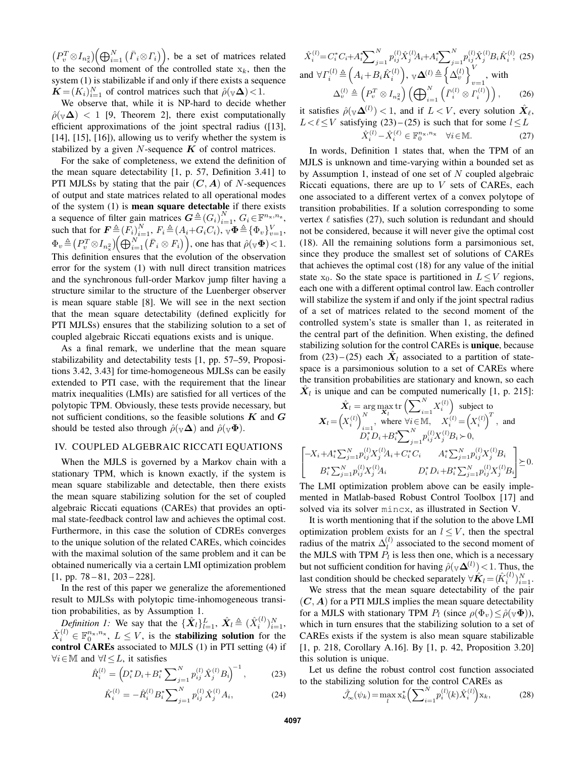$(P_v^T \otimes I_{n_x^2})\Big(\bigoplus_{i=1}^N (\bar{\Gamma}_i \otimes \Gamma_i)\Big),$  be a set of matrices related to the second moment of the controlled state  $x_k$ , then the system (1) is stabilizable if and only if there exists a sequence  $\mathbf{K} = (K_i)_{i=1}^N$  of control matrices such that  $\hat{\rho}(\mathbf{v}\mathbf{\Delta}) < 1$ .

We observe that, while it is NP-hard to decide whether  $\rho(\sqrt{\Delta})$  < 1 [9, Theorem 2], there exist computationally efficient approximations of the joint spectral radius ([13], [14], [15], [16]), allowing us to verify whether the system is stabilized by a given  $N$ -sequence  $K$  of control matrices.

For the sake of completeness, we extend the definition of the mean square detectability [1, p. 57, Definition 3.41] to PTI MJLSs by stating that the pair  $(C, A)$  of N-sequences of output and state matrices related to all operational modes of the system (1) is mean square detectable if there exists a sequence of filter gain matrices  $G \triangleq (G_i)_{i=1}^N, G_i \in \mathbb{F}^{n_x,n_z}$ , such that for  $\mathbf{F} \triangleq (F_i)_{i=1}^N$ ,  $F_i \triangleq (A_i + G_i C_i)$ ,  $\mathbf{\Psi} \triangleq {\Phi_v}_{v=1}^V$ ,  $\Phi_v \triangleq \left( P^T_v \otimes I_{n_{\hat{x}}} \right) \left( \bigoplus_{i=1}^N \left( \bar{F}_i \otimes F_i \right) \right)$ , one has that  $\hat{\rho}({\bf \Psi} {\bf \Phi})$  < 1. This definition ensures that the evolution of the observation error for the system (1) with null direct transition matrices and the synchronous full-order Markov jump filter having a structure similar to the structure of the Luenberger observer is mean square stable [8]. We will see in the next section that the mean square detectability (defined explicitly for PTI MJLSs) ensures that the stabilizing solution to a set of coupled algebraic Riccati equations exists and is unique.

As a final remark, we underline that the mean square stabilizability and detectability tests [1, pp. 57–59, Propositions 3.42, 3.43] for time-homogeneous MJLSs can be easily extended to PTI case, with the requirement that the linear matrix inequalities (LMIs) are satisfied for all vertices of the polytopic TPM. Obviously, these tests provide necessary, but not sufficient conditions, so the feasible solutions  $K$  and  $G$ should be tested also through  $\hat{\rho}(\mathbf{v}\mathbf{\Delta})$  and  $\hat{\rho}(\mathbf{v}\mathbf{\Phi})$ .

#### IV. COUPLED ALGEBRAIC RICCATI EQUATIONS

When the MJLS is governed by a Markov chain with a stationary TPM, which is known exactly, if the system is mean square stabilizable and detectable, then there exists the mean square stabilizing solution for the set of coupled algebraic Riccati equations (CAREs) that provides an optimal state-feedback control law and achieves the optimal cost. Furthermore, in this case the solution of CDREs converges to the unique solution of the related CAREs, which coincides with the maximal solution of the same problem and it can be obtained numerically via a certain LMI optimization problem  $[1, pp. 78 - 81, 203 - 228].$ 

In the rest of this paper we generalize the aforementioned result to MJLSs with polytopic time-inhomogeneous transition probabilities, as by Assumption 1.

*Definition 1:* We say that the  $\{\hat{\mathbf{X}}_l\}_{l=1}^L$ ,  $\hat{\mathbf{X}}_l \triangleq (\hat{X}_i^{(l)})_{i=1}^N$ ,  $\hat{X}_i^{(l)} \in \mathbb{F}_0^{n_x, n_x}, L \leq V$ , is the **stabilizing solution** for the control CAREs associated to MJLS (1) in PTI setting (4) if  $\forall i \in \mathbb{M}$  and  $\forall l \leq L$ , it satisfies

$$
\hat{R}_i^{(l)} = \left( D_i^* D_i + B_i^* \sum_{j=1}^N p_{ij}^{(l)} \hat{X}_j^{(l)} B_i \right)^{-1},\tag{23}
$$

$$
\hat{K}_i^{(l)} = -\hat{R}_i^{(l)} B_i^* \sum_{j=1}^N p_{ij}^{(l)} \hat{X}_j^{(l)} A_i, \tag{24}
$$

$$
\hat{X}_{i}^{(l)} = C_{i}^{*} C_{i} + A_{i}^{*} \sum_{j=1}^{N} p_{ij}^{(l)} \hat{X}_{j}^{(l)} A_{i} + A_{i}^{*} \sum_{j=1}^{N} p_{ij}^{(l)} \hat{X}_{j}^{(l)} B_{i} \hat{K}_{i}^{(l)},
$$
\n(25)\nand\n
$$
\forall T_{i}^{(l)} \triangleq \left(A_{i} + B_{i} \hat{K}_{i}^{(l)}\right), \ \forall \Delta^{(l)} \triangleq \left\{\Delta_{v}^{(l)}\right\}_{v=1}^{V}, \text{ with}
$$
\n
$$
\Delta_{v}^{(l)} \triangleq \left(P_{v}^{T} \otimes I_{n_{x}^{2}}\right) \left(\bigoplus_{i=1}^{N} \left(\bar{\Gamma}_{i}^{(l)} \otimes \Gamma_{i}^{(l)}\right)\right),
$$
\n(26)

it satisfies  $\hat{\rho}(\mathbf{v}\mathbf{\Delta}^{(l)}) < 1$ , and if  $L < V$ , every solution  $\hat{\mathbf{X}}_{\ell}$ ,  $L < l \leq V$  satisfying (23) – (25) is such that for some  $l \leq L$  $\hat{X}_i^{(l)} - \hat{X}_i^{(\ell)} \in \mathbb{F}_0^{n_x, n_x} \quad \forall i \in \mathbb{M}.$  (27)

In words, Definition 1 states that, when the TPM of an MJLS is unknown and time-varying within a bounded set as by Assumption 1, instead of one set of  $N$  coupled algebraic Riccati equations, there are up to  $V$  sets of CAREs, each one associated to a different vertex of a convex polytope of transition probabilities. If a solution corresponding to some vertex  $\ell$  satisfies (27), such solution is redundant and should not be considered, because it will never give the optimal cost (18). All the remaining solutions form a parsimonious set, since they produce the smallest set of solutions of CAREs that achieves the optimal cost (18) for any value of the initial state  $x_0$ . So the state space is partitioned in  $L \leq V$  regions, each one with a different optimal control law. Each controller will stabilize the system if and only if the joint spectral radius of a set of matrices related to the second moment of the controlled system's state is smaller than 1, as reiterated in the central part of the definition. When existing, the defined stabilizing solution for the control CAREs is unique, because from (23)–(25) each  $\hat{X}_l$  associated to a partition of statespace is a parsimonious solution to a set of CAREs where the transition probabilities are stationary and known, so each  $\hat{\mathbf{X}}_l$  is unique and can be computed numerically [1, p. 215]:

$$
\hat{X}_l = \arg \max_{X_l} \text{tr} \left( \sum_{i=1}^N X_i^{(l)} \right) \text{ subject to}
$$
\n
$$
X_l = \left( X_i^{(l)} \right)_{i=1}^N, \text{ where } \forall i \in \mathbb{M}, \quad X_i^{(l)} = \left( X_i^{(l)} \right)^T, \text{ and}
$$
\n
$$
D_i^* D_i + B_i^* \sum_{j=1}^N p_{ij}^{(l)} X_j^{(l)} B_i \succ 0,
$$
\n
$$
-X_i + A_i^* \sum_{j=1}^N p_{ij}^{(l)} X_j^{(l)} A_i + C_i^* C_i \qquad A_i^* \sum_{j=1}^N p_{ij}^{(l)} X_j^{(l)} B_i
$$
\n
$$
B_i^* \sum_{j=1}^N p_{ij}^{(l)} X_j^{(l)} A_i \qquad D_i^* D_i + B_i^* \sum_{j=1}^N p_{ij}^{(l)} X_j^{(l)} B_i \ge 0.
$$

The LMI optimization problem above can be easily implemented in Matlab-based Robust Control Toolbox [17] and solved via its solver mincx, as illustrated in Section V.

It is worth mentioning that if the solution to the above LMI optimization problem exists for an  $l \leq V$ , then the spectral radius of the matrix  $\Delta_l^{(l)}$  $\ell_l^{(l)}$  associated to the second moment of the MJLS with TPM  $P_l$  is less then one, which is a necessary but not sufficient condition for having  $\hat{\rho}(\mathbf{v}\mathbf{\Delta}^{(l)})$  < 1. Thus, the last condition should be checked separately  $\forall \hat{\mathbf{K}}_l$  =  $(\hat{K}_i^{(l)})_{i=1}^N$ .

We stress that the mean square detectability of the pair  $(C, A)$  for a PTI MJLS implies the mean square detectability for a MJLS with stationary TPM  $P_l$  (since  $\rho(\Phi_v) \leq \hat{\rho}(\mathbf{\Psi}\Phi)$ ), which in turn ensures that the stabilizing solution to a set of CAREs exists if the system is also mean square stabilizable [1, p. 218, Corollary A.16]. By [1, p. 42, Proposition 3.20] this solution is unique.

Let us define the robust control cost function associated to the stabilizing solution for the control CAREs as

$$
\hat{\mathcal{J}}_{\infty}(\psi_k) = \max_{l} \mathbf{x}_k^* \left( \sum_{i=1}^N p_i^{(l)}(k) \hat{X}_i^{(l)} \right) \mathbf{x}_k, \tag{28}
$$

J.  $\overline{1}$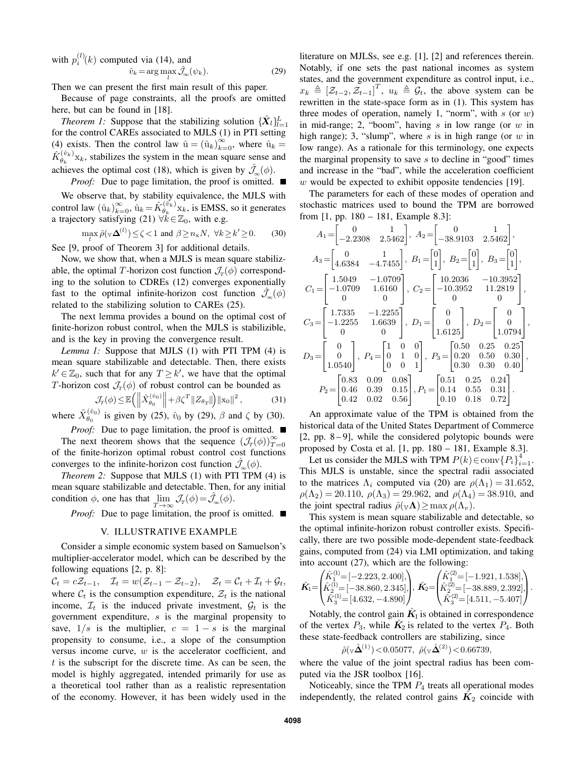with  $p_i^{(l)}(k)$  computed via (14), and  $\hat{v}_k = \arg \max_l \hat{\mathcal{J}}_{\infty}(\psi_k).$ (29)

Then we can present the first main result of this paper.

Because of page constraints, all the proofs are omitted here, but can be found in [18].

*Theorem 1:* Suppose that the stabilizing solution  $\{\hat{X}_l\}_{l=1}^L$ for the control CAREs associated to MJLS (1) in PTI setting (4) exists. Then the control law  $\hat{u} = (\hat{u}_k)_{k=0}^{\infty}$ , where  $\hat{u}_k =$  $\hat{K}_{\theta}^{(\hat{v}_k)}$  $\theta_k^{(v_k)}$ <sub>xk</sub>, stabilizes the system in the mean square sense and achieves the optimal cost (18), which is given by  $\hat{\mathcal{J}}_{\infty}(\phi)$ .

*Proof:* Due to page limitation, the proof is omitted. ■

We observe that, by stability equivalence, the MJLS with control law  $(\hat{u}_k)_{k=0}^{\infty}, \hat{u}_k = \hat{K}_{\theta_k}^{(\hat{v}_k)}$  $\theta_k^{(v_k)}$ <sub>x<sub>k</sub>, is EMSS, so it generates</sub> a trajectory satisfying (21)  $\forall k \in \mathbb{Z}_0$ , with e.g.

 $\max_{l} \hat{\rho}(\mathbf{v}\mathbf{\Delta}^{(l)}) \leq \zeta < 1$  and  $\beta \geq n_{\mathbf{x}}N$ ,  $\forall k \geq k' \geq 0$ . (30)

See [9, proof of Theorem 3] for additional details.

Now, we show that, when a MJLS is mean square stabilizable, the optimal T-horizon cost function  $\mathcal{J}_T(\phi)$  corresponding to the solution to CDREs (12) converges exponentially fast to the optimal infinite-horizon cost function  $\mathcal{J}_{\infty}(\phi)$ related to the stabilizing solution to CAREs (25).

The next lemma provides a bound on the optimal cost of finite-horizon robust control, when the MJLS is stabilizible, and is the key in proving the convergence result.

*Lemma 1:* Suppose that MJLS (1) with PTI TPM (4) is mean square stabilizable and detectable. Then, there exists  $k' \in \mathbb{Z}_0$ , such that for any  $T \geq k'$ , we have that the optimal T-horizon cost  $\mathcal{J}_T(\phi)$  of robust control can be bounded as

$$
\mathcal{J}_{\Gamma}(\phi) \le \mathbb{E}\left(\left\|\hat{X}_{\theta_0}^{(\hat{v}_0)}\right\| + \beta \zeta^T \|Z_{\theta_T}\|\right) \|x_0\|^2, \tag{31}
$$

where  $\hat{X}_{\theta_0}^{(\hat{v}_0)}$  $\hat{\theta}_0^{(v_0)}$  is given by (25),  $\hat{v}_0$  by (29),  $\beta$  and  $\zeta$  by (30).

*Proof:* Due to page limitation, the proof is omitted. ■ The next theorem shows that the sequence  $(\mathcal{J}_T(\phi))_{T=0}^{\infty}$ of the finite-horizon optimal robust control cost functions converges to the infinite-horizon cost function  $\mathcal{J}_{\sim}(\phi)$ .

*Theorem 2:* Suppose that MJLS (1) with PTI TPM (4) is mean square stabilizable and detectable. Then, for any initial condition  $\phi$ , one has that  $\lim_{T \to \infty} \mathcal{J}_T(\phi) = \hat{\mathcal{J}}_{\infty}(\phi)$ .

*Proof:* Due to page limitation, the proof is omitted. ■

#### V. ILLUSTRATIVE EXAMPLE

Consider a simple economic system based on Samuelson's multiplier-accelerator model, which can be described by the following equations [2, p. 8]:

 $\mathcal{C}_t = c\mathcal{Z}_{t-1}, \quad \mathcal{I}_t = w(\mathcal{Z}_{t-1}-\mathcal{Z}_{t-2}), \quad \mathcal{Z}_t = \mathcal{C}_t + \mathcal{I}_t + \mathcal{G}_t,$ where  $C_t$  is the consumption expenditure,  $\mathcal{Z}_t$  is the national income,  $\mathcal{I}_t$  is the induced private investment,  $\mathcal{G}_t$  is the government expenditure, s is the marginal propensity to save,  $1/s$  is the multiplier,  $c = 1 - s$  is the marginal propensity to consume, i.e., a slope of the consumption versus income curve,  $w$  is the accelerator coefficient, and  $t$  is the subscript for the discrete time. As can be seen, the model is highly aggregated, intended primarily for use as a theoretical tool rather than as a realistic representation of the economy. However, it has been widely used in the literature on MJLSs, see e.g. [1], [2] and references therein. Notably, if one sets the past national incomes as system states, and the government expenditure as control input, i.e.,  $x_k \triangleq [\mathcal{Z}_{t-2}, \mathcal{Z}_{t-1}]^T$ ,  $u_k \triangleq \mathcal{G}_t$ , the above system can be rewritten in the state-space form as in (1). This system has three modes of operation, namely 1, "norm", with  $s$  (or  $w$ ) in mid-range; 2, "boom", having  $s$  in low range (or  $w$  in high range); 3, "slump", where  $s$  is in high range (or  $w$  in low range). As a rationale for this terminology, one expects the marginal propensity to save  $s$  to decline in "good" times and increase in the "bad", while the acceleration coefficient w would be expected to exhibit opposite tendencies [19].

The parameters for each of these modes of operation and stochastic matrices used to bound the TPM are borrowed from [1, pp. 180 – 181, Example 8.3]:

$$
A_1 = \begin{bmatrix} 0 & 1 \\ -2.2308 & 2.5462 \end{bmatrix}, A_2 = \begin{bmatrix} 0 & 1 \\ -38.9103 & 2.5462 \end{bmatrix},
$$
  
\n
$$
A_3 = \begin{bmatrix} 0 & 1 \\ 4.6384 & -4.7455 \end{bmatrix}, B_1 = \begin{bmatrix} 0 \\ 1 \end{bmatrix}, B_2 = \begin{bmatrix} 0 \\ 1 \end{bmatrix}, B_3 = \begin{bmatrix} 0 \\ 1 \end{bmatrix},
$$
  
\n
$$
C_1 = \begin{bmatrix} 1.5049 & -1.0709 \\ -1.0709 & 1.6160 \\ 0 & 0 \end{bmatrix}, C_2 = \begin{bmatrix} 10.2036 & -10.3952 \\ -10.3952 & 11.2819 \\ 0 & 0 \end{bmatrix},
$$
  
\n
$$
C_3 = \begin{bmatrix} 1.7335 & -1.2255 \\ -1.2255 & 1.6639 \\ 0 & 0 \end{bmatrix}, D_1 = \begin{bmatrix} 0 \\ 0 \\ 1.6125 \end{bmatrix}, D_2 = \begin{bmatrix} 0 \\ 0 \\ 1.0794 \end{bmatrix},
$$
  
\n
$$
D_3 = \begin{bmatrix} 0 \\ 0 \\ 1.0540 \end{bmatrix}, P_4 = \begin{bmatrix} 1 & 0 & 0 \\ 0 & 1 & 0 \\ 0 & 0 & 1 \end{bmatrix}, P_3 = \begin{bmatrix} 0.50 & 0.25 & 0.25 \\ 0.20 & 0.50 & 0.30 \\ 0.30 & 0.30 & 0.40 \end{bmatrix},
$$
  
\n
$$
P_2 = \begin{bmatrix} 0.83 & 0.09 & 0.08 \\ 0.46 & 0.39 & 0.15 \\ 0.42 & 0.02 & 0.56 \end{bmatrix}, P_1 = \begin{bmatrix} 0.51 & 0.25 & 0.24 \\ 0.14 & 0.55 & 0.31 \\ 0.10 & 0.18 & 0.72 \end{bmatrix}.
$$

An approximate value of the TPM is obtained from the historical data of the United States Department of Commerce  $[2, pp. 8-9]$ , while the considered polytopic bounds were proposed by Costa et al. [1, pp. 180 – 181, Example 8.3].

Let us consider the MJLS with TPM  $P(k) \in \text{conv}(\{P_i\}_{i=1}^4)$ . This MJLS is unstable, since the spectral radii associated to the matrices  $\Lambda_i$  computed via (20) are  $\rho(\Lambda_1) = 31.652$ ,  $\rho(\Lambda_2) = 20.110$ ,  $\rho(\Lambda_3) = 29.962$ , and  $\rho(\Lambda_4) = 38.910$ , and the joint spectral radius  $\hat{\rho}(\mathbf{v}\mathbf{\Lambda}) \geq \max \rho(\Lambda_v)$ .

This system is mean square stabilizable and detectable, so the optimal infinite-horizon robust controller exists. Specifically, there are two possible mode-dependent state-feedback gains, computed from (24) via LMI optimization, and taking into account (27), which are the following:

$$
\hat{\mathbf{K}}_{\text{I}}\text{=}\begin{pmatrix} \hat{K}_{1}^{(1)}\text{=}\left[-2.223,2.400\right],\\ \hat{K}_{2}^{(1)}\text{=}\left[-38.860,2.345\right],\\ \hat{K}_{3}^{(3)}\text{=}\left[4.632,-4.890\right] \end{pmatrix},\ \hat{\mathbf{K}}_{2}\text{=}\begin{pmatrix} \hat{K}_{1}^{(2)}\text{=}\left[-1.921,1.538\right],\\ \hat{K}_{2}^{(2)}\text{=}\left[-38.889,2.392\right],\\ \hat{K}_{3}^{(3)}\text{=}\left[4.511,-5.407\right] \end{pmatrix}.
$$

Notably, the control gain  $\hat{K_1}$  is obtained in correspondence of the vertex  $P_3$ , while  $\hat{K}_2$  is related to the vertex  $P_4$ . Both these state-feedback controllers are stabilizing, since

$$
\hat{\rho}(\sqrt{\hat{\Delta}}^{(1)})
$$
 < 0.05077,  $\hat{\rho}(\sqrt{\hat{\Delta}}^{(2)})$  < 0.66739,

where the value of the joint spectral radius has been computed via the JSR toolbox [16].

Noticeably, since the TPM  $P_4$  treats all operational modes independently, the related control gains  $\hat{K_2}$  coincide with